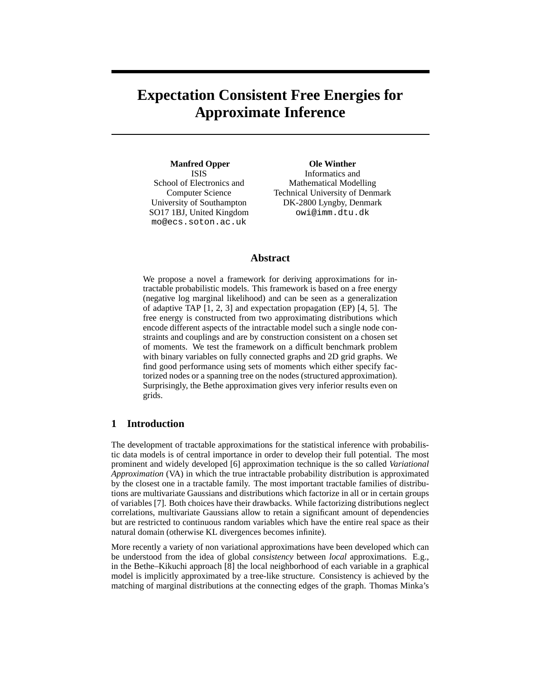# **Expectation Consistent Free Energies for Approximate Inference**

**Manfred Opper** ISIS School of Electronics and Computer Science University of Southampton SO17 1BJ, United Kingdom mo@ecs.soton.ac.uk

**Ole Winther** Informatics and Mathematical Modelling Technical University of Denmark DK-2800 Lyngby, Denmark owi@imm.dtu.dk

# **Abstract**

We propose a novel a framework for deriving approximations for intractable probabilistic models. This framework is based on a free energy (negative log marginal likelihood) and can be seen as a generalization of adaptive TAP [1, 2, 3] and expectation propagation (EP) [4, 5]. The free energy is constructed from two approximating distributions which encode different aspects of the intractable model such a single node constraints and couplings and are by construction consistent on a chosen set of moments. We test the framework on a difficult benchmark problem with binary variables on fully connected graphs and 2D grid graphs. We find good performance using sets of moments which either specify factorized nodes or a spanning tree on the nodes (structured approximation). Surprisingly, the Bethe approximation gives very inferior results even on grids.

## **1 Introduction**

The development of tractable approximations for the statistical inference with probabilistic data models is of central importance in order to develop their full potential. The most prominent and widely developed [6] approximation technique is the so called *Variational Approximation* (VA) in which the true intractable probability distribution is approximated by the closest one in a tractable family. The most important tractable families of distributions are multivariate Gaussians and distributions which factorize in all or in certain groups of variables [7]. Both choices have their drawbacks. While factorizing distributions neglect correlations, multivariate Gaussians allow to retain a significant amount of dependencies but are restricted to continuous random variables which have the entire real space as their natural domain (otherwise KL divergences becomes infinite).

More recently a variety of non variational approximations have been developed which can be understood from the idea of global *consistency* between *local* approximations. E.g., in the Bethe–Kikuchi approach [8] the local neighborhood of each variable in a graphical model is implicitly approximated by a tree-like structure. Consistency is achieved by the matching of marginal distributions at the connecting edges of the graph. Thomas Minka's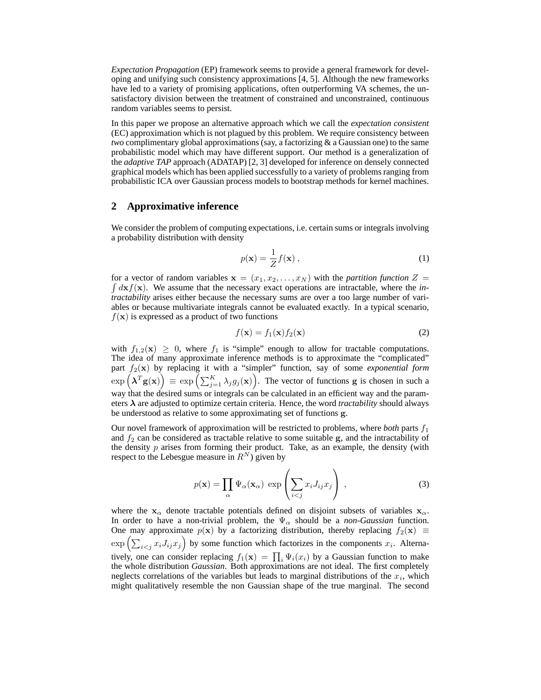*Expectation Propagation* (EP) framework seems to provide a general framework for developing and unifying such consistency approximations [4, 5]. Although the new frameworks have led to a variety of promising applications, often outperforming VA schemes, the unsatisfactory division between the treatment of constrained and unconstrained, continuous random variables seems to persist.

In this paper we propose an alternative approach which we call the *expectation consistent* (EC) approximation which is not plagued by this problem. We require consistency between *two* complimentary global approximations (say, a factorizing & a Gaussian one) to the same probabilistic model which may have different support. Our method is a generalization of the *adaptive TAP* approach (ADATAP) [2, 3] developed for inference on densely connected graphical models which has been applied successfully to a variety of problems ranging from probabilistic ICA over Gaussian process models to bootstrap methods for kernel machines.

## **2 Approximative inference**

We consider the problem of computing expectations, i.e. certain sums or integrals involving a probability distribution with density

$$
p(\mathbf{x}) = \frac{1}{Z} f(\mathbf{x}),
$$
\n(1)

 $\int d\mathbf{x} f(\mathbf{x})$ . We assume that the necessary exact operations are intractable, where the *in*for a vector of random variables  $x = (x_1, x_2, \ldots, x_N)$  with the *partition function*  $Z =$ *tractability* arises either because the necessary sums are over a too large number of variables or because multivariate integrals cannot be evaluated exactly. In a typical scenario,  $f(\mathbf{x})$  is expressed as a product of two functions

$$
f(\mathbf{x}) = f_1(\mathbf{x}) f_2(\mathbf{x})
$$
 (2)

with  $f_{1,2}(\mathbf{x}) \geq 0$ , where  $f_1$  is "simple" enough to allow for tractable computations. The idea of many approximate inference methods is to approximate the "complicated" part  $f_2(\mathbf{x})$  by replacing it with a "simpler" function, say of some *exponential form*  $\exp\left({\boldsymbol\lambda}^T{\bf g}({\bf x})\right)\,\equiv\,\exp\left({\sum_{j=1}^K\lambda_jg_j({\bf x})}\right).$  The vector of functions g is chosen in such a way that the desired sums or integrals can be calculated in an efficient way and the parameters  $\lambda$  are adjusted to optimize certain criteria. Hence, the word *tractability* should always be understood as relative to some approximating set of functions g.

Our novel framework of approximation will be restricted to problems, where *both* parts  $f_1$ and  $f_2$  can be considered as tractable relative to some suitable g, and the intractability of the density  $p$  arises from forming their product. Take, as an example, the density (with respect to the Lebesgue measure in  $R^N$ ) given by

$$
p(\mathbf{x}) = \prod_{\alpha} \Psi_{\alpha}(\mathbf{x}_{\alpha}) \exp\left(\sum_{i < j} x_i J_{ij} x_j\right) \,,\tag{3}
$$

where the  $x_\alpha$  denote tractable potentials defined on disjoint subsets of variables  $x_\alpha$ . In order to have a non-trivial problem, the  $\Psi_{\alpha}$  should be a *non-Gaussian* function. One may approximate  $p(x)$  by a factorizing distribution, thereby replacing  $f_2(x) \equiv$  $\exp\left(\sum_{i < j} x_i J_{ij} x_j\right)$  by some function which factorizes in the components  $x_i$ . Alternatively, one can consider replacing  $f_1(\mathbf{x}) = \prod_i \Psi_i(x_i)$  by a Gaussian function to make the whole distribution *Gaussian*. Both approximations are not ideal. The first completely neglects correlations of the variables but leads to marginal distributions of the  $x_i$ , which might qualitatively resemble the non Gaussian shape of the true marginal. The second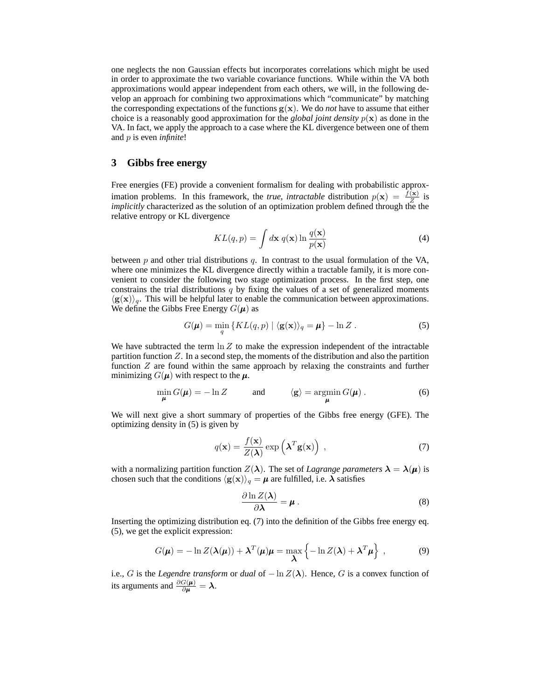one neglects the non Gaussian effects but incorporates correlations which might be used in order to approximate the two variable covariance functions. While within the VA both approximations would appear independent from each others, we will, in the following develop an approach for combining two approximations which "communicate" by matching the corresponding expectations of the functions  $g(x)$ . We do *not* have to assume that either choice is a reasonably good approximation for the *global joint density*  $p(x)$  as done in the VA. In fact, we apply the approach to a case where the KL divergence between one of them and p is even *infinite*!

# **3 Gibbs free energy**

Free energies (FE) provide a convenient formalism for dealing with probabilistic approximation problems. In this framework, the *true, intractable* distribution  $p(x) = \frac{f(x)}{Z}$  is *implicitly* characterized as the solution of an optimization problem defined through the the relative entropy or KL divergence

$$
KL(q, p) = \int d\mathbf{x} \ q(\mathbf{x}) \ln \frac{q(\mathbf{x})}{p(\mathbf{x})}
$$
 (4)

between  $p$  and other trial distributions  $q$ . In contrast to the usual formulation of the VA, where one minimizes the KL divergence directly within a tractable family, it is more convenient to consider the following two stage optimization process. In the first step, one constrains the trial distributions  $q$  by fixing the values of a set of generalized moments  $\langle g(x) \rangle_q$ . This will be helpful later to enable the communication between approximations. We define the Gibbs Free Energy  $G(\mu)$  as

$$
G(\boldsymbol{\mu}) = \min_{q} \{ KL(q, p) \mid \langle \mathbf{g}(\mathbf{x}) \rangle_q = \boldsymbol{\mu} \} - \ln Z . \tag{5}
$$

We have subtracted the term  $\ln Z$  to make the expression independent of the intractable partition function  $Z$ . In a second step, the moments of the distribution and also the partition function Z are found within the same approach by relaxing the constraints and further minimizing  $G(\mu)$  with respect to the  $\mu$ .

$$
\min_{\mu} G(\mu) = -\ln Z \quad \text{and} \quad \langle \mathbf{g} \rangle = \operatorname*{argmin}_{\mu} G(\mu) \,. \tag{6}
$$

We will next give a short summary of properties of the Gibbs free energy (GFE). The optimizing density in (5) is given by

$$
q(\mathbf{x}) = \frac{f(\mathbf{x})}{Z(\lambda)} \exp\left(\lambda^T \mathbf{g}(\mathbf{x})\right) , \qquad (7)
$$

with a normalizing partition function  $Z(\lambda)$ . The set of *Lagrange parameters*  $\lambda = \lambda(\mu)$  is chosen such that the conditions  $\langle g(x)\rangle_q = \mu$  are fulfilled, i.e.  $\lambda$  satisfies

$$
\frac{\partial \ln Z(\lambda)}{\partial \lambda} = \mu \,. \tag{8}
$$

Inserting the optimizing distribution eq. (7) into the definition of the Gibbs free energy eq. (5), we get the explicit expression:

$$
G(\boldsymbol{\mu}) = -\ln Z(\boldsymbol{\lambda}(\boldsymbol{\mu})) + \boldsymbol{\lambda}^T(\boldsymbol{\mu})\boldsymbol{\mu} = \max_{\boldsymbol{\lambda}} \left\{-\ln Z(\boldsymbol{\lambda}) + \boldsymbol{\lambda}^T\boldsymbol{\mu}\right\},
$$
 (9)

i.e., G is the *Legendre transform* or *dual* of  $-\ln Z(\lambda)$ . Hence, G is a convex function of its arguments and  $\frac{\partial G(\mu)}{\partial \mu} = \lambda$ .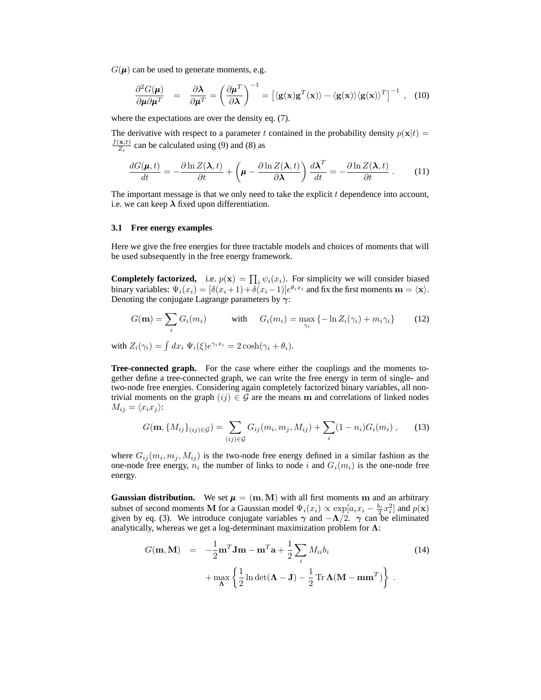$G(\mu)$  can be used to generate moments, e.g.

$$
\frac{\partial^2 G(\mu)}{\partial \mu \partial \mu^T} = \frac{\partial \lambda}{\partial \mu^T} = \left(\frac{\partial \mu^T}{\partial \lambda}\right)^{-1} = \left[\langle \mathbf{g}(\mathbf{x}) \mathbf{g}^T(\mathbf{x}) \rangle - \langle \mathbf{g}(\mathbf{x}) \rangle \langle \mathbf{g}(\mathbf{x}) \rangle^T\right]^{-1}, \quad (10)
$$

where the expectations are over the density eq. (7).

The derivative with respect to a parameter t contained in the probability density  $p(\mathbf{x}|t)$  =  $f(\mathbf{x},t)$  $\frac{(x,t)}{Z_t}$  can be calculated using (9) and (8) as

$$
\frac{dG(\boldsymbol{\mu},t)}{dt} = -\frac{\partial \ln Z(\boldsymbol{\lambda},t)}{\partial t} + \left(\boldsymbol{\mu} - \frac{\partial \ln Z(\boldsymbol{\lambda},t)}{\partial \boldsymbol{\lambda}}\right) \frac{d\boldsymbol{\lambda}^T}{dt} = -\frac{\partial \ln Z(\boldsymbol{\lambda},t)}{\partial t} \,. \tag{11}
$$

The important message is that we only need to take the explicit  $t$  dependence into account, i.e. we can keep  $\lambda$  fixed upon differentiation.

## **3.1 Free energy examples**

Here we give the free energies for three tractable models and choices of moments that will be used subsequently in the free energy framework.

**Completely factorized,** i.e.  $p(\mathbf{x}) = \prod_i \psi_i(x_i)$ . For simplicity we will consider biased binary variables:  $\Psi_i(x_i) = [\delta(x_i+1) + \delta(x_i-1)]e^{\theta_i x_i}$  and fix the first moments  $\mathbf{m} = \langle \mathbf{x} \rangle$ . Denoting the conjugate Lagrange parameters by  $\gamma$ :

$$
G(\mathbf{m}) = \sum_{i} G_i(m_i) \qquad \text{with} \quad G_i(m_i) = \max_{\gamma_i} \{-\ln Z_i(\gamma_i) + m_i \gamma_i\} \qquad (12)
$$

with  $Z_i(\gamma_i) = \int dx_i \Psi_i(\xi) e^{\gamma_i x_i} = 2 \cosh(\gamma_i + \theta_i).$ 

**Tree-connected graph.** For the case where either the couplings and the moments together define a tree-connected graph, we can write the free energy in term of single- and two-node free energies. Considering again completely factorized binary variables, all nontrivial moments on the graph  $(ij) \in G$  are the means m and correlations of linked nodes  $M_{ij} = \langle x_i x_j \rangle$ :

$$
G(\mathbf{m}, \{M_{ij}\}_{(ij)\in\mathcal{G}}) = \sum_{(ij)\in\mathcal{G}} G_{ij}(m_i, m_j, M_{ij}) + \sum_i (1 - n_i) G_i(m_i) ,\qquad (13)
$$

where  $G_{ij}(m_i, m_j, M_{ij})$  is the two-node free energy defined in a similar fashion as the one-node free energy,  $n_i$  the number of links to node i and  $G_i(m_i)$  is the one-node free energy.

**Gaussian distribution.** We set  $\mu = (m, M)$  with all first moments m and an arbitrary subset of second moments M for a Gaussian model  $\Psi_i(x_i) \propto \exp[a_i x_i - \frac{b_i}{2} x_i^2]$  and  $p(\mathbf{x})$ given by eq. (3). We introduce conjugate variables  $\gamma$  and  $-\Lambda/2$ .  $\gamma$  can be eliminated analytically, whereas we get a log-determinant maximization problem for  $\Lambda$ :

$$
G(\mathbf{m}, \mathbf{M}) = -\frac{1}{2}\mathbf{m}^{T}\mathbf{J}\mathbf{m} - \mathbf{m}^{T}\mathbf{a} + \frac{1}{2}\sum_{i} M_{ii}b_{i}
$$
  
+ 
$$
\max_{\mathbf{\Lambda}} \left\{ \frac{1}{2} \ln \det(\mathbf{\Lambda} - \mathbf{J}) - \frac{1}{2} \operatorname{Tr} \mathbf{\Lambda} (\mathbf{M} - \mathbf{m}\mathbf{m}^{T}) \right\}.
$$
 (14)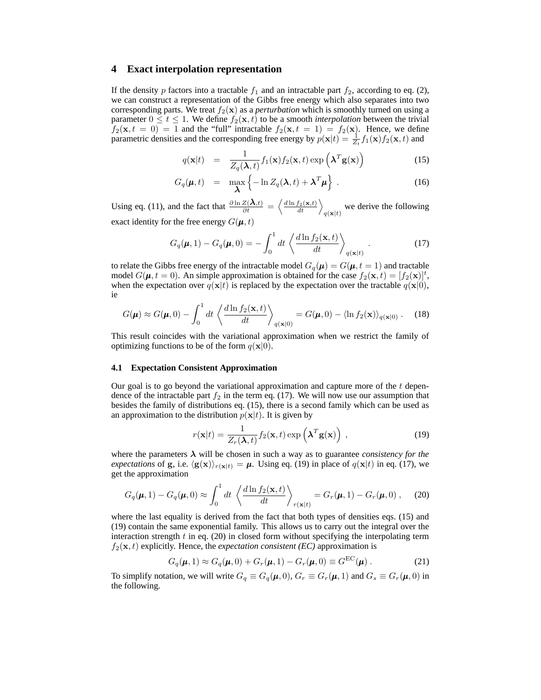## **4 Exact interpolation representation**

If the density p factors into a tractable  $f_1$  and an intractable part  $f_2$ , according to eq. (2), we can construct a representation of the Gibbs free energy which also separates into two corresponding parts. We treat  $f_2(\mathbf{x})$  as a *perturbation* which is smoothly turned on using a parameter  $0 \le t \le 1$ . We define  $f_2(\mathbf{x}, t)$  to be a smooth *interpolation* between the trivial  $f_2(\mathbf{x}, t = 0) = 1$  and the "full" intractable  $f_2(\mathbf{x}, t = 1) = f_2(\mathbf{x})$ . Hence, we define parametric densities and the corresponding free energy by  $p(\mathbf{x}|t) = \frac{1}{Z_t} f_1(\mathbf{x}) f_2(\mathbf{x}, t)$  and

$$
q(\mathbf{x}|t) = \frac{1}{Z_q(\lambda, t)} f_1(\mathbf{x}) f_2(\mathbf{x}, t) \exp\left(\lambda^T \mathbf{g}(\mathbf{x})\right)
$$
(15)

$$
G_q(\boldsymbol{\mu},t) = \max_{\boldsymbol{\lambda}} \left\{-\ln Z_q(\boldsymbol{\lambda},t) + \boldsymbol{\lambda}^T \boldsymbol{\mu}\right\}.
$$
 (16)

Using eq. (11), and the fact that  $\frac{\partial \ln Z(\lambda,t)}{\partial t} = \left\langle \frac{d \ln f_2(\mathbf{x},t)}{dt} \right\rangle_{q(\mathbf{x}|t)}$  we derive the following exact identity for the free energy  $G(\boldsymbol{\mu}, t)$ 

$$
G_q(\boldsymbol{\mu}, 1) - G_q(\boldsymbol{\mu}, 0) = -\int_0^1 dt \left\langle \frac{d \ln f_2(\mathbf{x}, t)}{dt} \right\rangle_{q(\mathbf{x}|t)}.
$$
 (17)

to relate the Gibbs free energy of the intractable model  $G_q(\mu) = G(\mu, t = 1)$  and tractable model  $G(\mu, t = 0)$ . An simple approximation is obtained for the case  $f_2(\mathbf{x}, t) = [f_2(\mathbf{x})]^t$ , when the expectation over  $q(\mathbf{x}|t)$  is replaced by the expectation over the tractable  $q(\mathbf{x}|0)$ , ie

$$
G(\boldsymbol{\mu}) \approx G(\boldsymbol{\mu}, 0) - \int_0^1 dt \left\langle \frac{d \ln f_2(\mathbf{x}, t)}{dt} \right\rangle_{q(\mathbf{x}|0)} = G(\boldsymbol{\mu}, 0) - \langle \ln f_2(\mathbf{x}) \rangle_{q(\mathbf{x}|0)} . \tag{18}
$$

This result coincides with the variational approximation when we restrict the family of optimizing functions to be of the form  $q(\mathbf{x}|0)$ .

#### **4.1 Expectation Consistent Approximation**

Our goal is to go beyond the variational approximation and capture more of the  $t$  dependence of the intractable part  $f_2$  in the term eq. (17). We will now use our assumption that besides the family of distributions eq. (15), there is a second family which can be used as an approximation to the distribution  $p(x|t)$ . It is given by

$$
r(\mathbf{x}|t) = \frac{1}{Z_r(\lambda, t)} f_2(\mathbf{x}, t) \exp\left(\lambda^T \mathbf{g}(\mathbf{x})\right) , \qquad (19)
$$

where the parameters  $\lambda$  will be chosen in such a way as to guarantee *consistency for the expectations* of g, i.e.  $\langle g(x) \rangle_{r(x|t)} = \mu$ . Using eq. (19) in place of  $q(x|t)$  in eq. (17), we get the approximation

$$
G_q(\boldsymbol{\mu}, 1) - G_q(\boldsymbol{\mu}, 0) \approx \int_0^1 dt \left\langle \frac{d \ln f_2(\mathbf{x}, t)}{dt} \right\rangle_{r(\mathbf{x}|t)} = G_r(\boldsymbol{\mu}, 1) - G_r(\boldsymbol{\mu}, 0) ,\tag{20}
$$

where the last equality is derived from the fact that both types of densities eqs. (15) and (19) contain the same exponential family. This allows us to carry out the integral over the interaction strength  $t$  in eq. (20) in closed form without specifying the interpolating term  $f_2(\mathbf{x}, t)$  explicitly. Hence, the *expectation consistent (EC)* approximation is

$$
G_q(\boldsymbol{\mu}, 1) \approx G_q(\boldsymbol{\mu}, 0) + G_r(\boldsymbol{\mu}, 1) - G_r(\boldsymbol{\mu}, 0) \equiv G^{\text{EC}}(\boldsymbol{\mu}) . \tag{21}
$$

To simplify notation, we will write  $G_q \equiv G_q(\mu, 0)$ ,  $G_r \equiv G_r(\mu, 1)$  and  $G_s \equiv G_r(\mu, 0)$  in the following.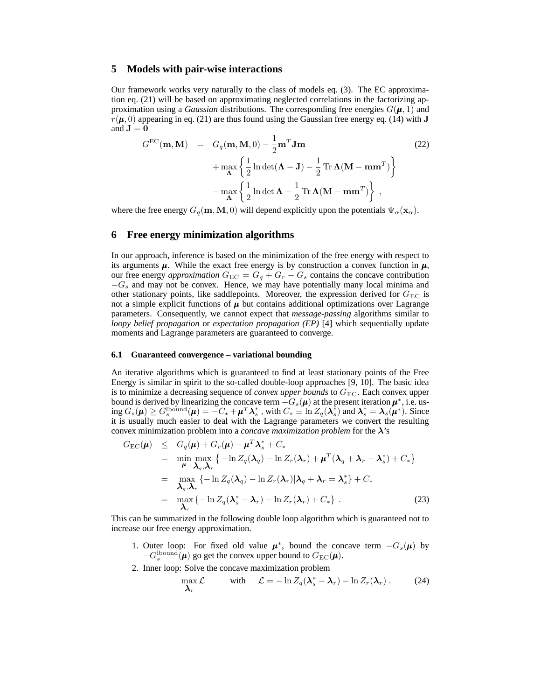## **5 Models with pair-wise interactions**

Our framework works very naturally to the class of models eq. (3). The EC approximation eq. (21) will be based on approximating neglected correlations in the factorizing approximation using a *Gaussian* distributions. The corresponding free energies  $G(\mu, 1)$  and  $r(\mu, 0)$  appearing in eq. (21) are thus found using the Gaussian free energy eq. (14) with J and  $J = 0$ 

$$
G^{EC}(\mathbf{m}, \mathbf{M}) = G_q(\mathbf{m}, \mathbf{M}, 0) - \frac{1}{2} \mathbf{m}^T \mathbf{J} \mathbf{m}
$$
  
+ 
$$
\max_{\mathbf{\Lambda}} \left\{ \frac{1}{2} \ln \det(\mathbf{\Lambda} - \mathbf{J}) - \frac{1}{2} \operatorname{Tr} \mathbf{\Lambda} (\mathbf{M} - \mathbf{m} \mathbf{m}^T) \right\}
$$
  
- 
$$
\max_{\mathbf{\Lambda}} \left\{ \frac{1}{2} \ln \det \mathbf{\Lambda} - \frac{1}{2} \operatorname{Tr} \mathbf{\Lambda} (\mathbf{M} - \mathbf{m} \mathbf{m}^T) \right\},
$$
 (22)

where the free energy  $G_q(\mathbf{m}, \mathbf{M}, 0)$  will depend explicitly upon the potentials  $\Psi_\alpha(\mathbf{x}_\alpha)$ .

## **6 Free energy minimization algorithms**

In our approach, inference is based on the minimization of the free energy with respect to its arguments  $\mu$ . While the exact free energy is by construction a convex function in  $\mu$ , our free energy *approximation*  $G_{EC} = G_q + G_r - G_s$  contains the concave contribution  $-G<sub>s</sub>$  and may not be convex. Hence, we may have potentially many local minima and other stationary points, like saddlepoints. Moreover, the expression derived for  $G_{\text{EC}}$  is not a simple explicit functions of  $\mu$  but contains additional optimizations over Lagrange parameters. Consequently, we cannot expect that *message-passing* algorithms similar to *loopy belief propagation* or *expectation propagation (EP)* [4] which sequentially update moments and Lagrange parameters are guaranteed to converge.

### **6.1 Guaranteed convergence – variational bounding**

An iterative algorithms which is guaranteed to find at least stationary points of the Free Energy is similar in spirit to the so-called double-loop approaches [9, 10]. The basic idea is to minimize a decreasing sequence of *convex upper bounds* to  $G_{EC}$ . Each convex upper bound is derived by linearizing the concave term  $-G_s(\mu)$  at the present iteration  $\mu^*$ , i.e. us- $\lim_{s \to s} G_s(\mu) \geq G_s^{\text{lbound}}(\mu) = -C_* + \mu^T \lambda_s^*$ , with  $C_* \equiv \ln Z_q(\lambda_s^*)$  and  $\lambda_s^* = \lambda_s(\mu^*)$ . Since it is usually much easier to deal with the Lagrange parameters we convert the resulting convex minimization problem into a *concave maximization problem* for the λ's

$$
G_{\rm EC}(\mu) \leq G_q(\mu) + G_r(\mu) - \mu^T \lambda_s^* + C_*
$$
  
\n
$$
= \min_{\mu} \max_{\lambda_q, \lambda_r} \{-\ln Z_q(\lambda_q) - \ln Z_r(\lambda_r) + \mu^T (\lambda_q + \lambda_r - \lambda_s^*) + C_*\}
$$
  
\n
$$
= \max_{\lambda_q, \lambda_r} \{-\ln Z_q(\lambda_q) - \ln Z_r(\lambda_r) | \lambda_q + \lambda_r = \lambda_s^* \} + C_*
$$
  
\n
$$
= \max_{\lambda_r} \{-\ln Z_q(\lambda_s^* - \lambda_r) - \ln Z_r(\lambda_r) + C_* \} .
$$
 (23)

This can be summarized in the following double loop algorithm which is guaranteed not to increase our free energy approximation.

- 1. Outer loop: For fixed old value  $\mu^*$ , bound the concave term  $-G_s(\mu)$  by  $-G_s^{\text{lbound}}(\mu)$  go get the convex upper bound to  $G_{\text{EC}}(\mu)$ .
- 2. Inner loop: Solve the concave maximization problem

$$
\max_{\mathbf{\lambda}_r} \mathcal{L} \quad \text{with} \quad \mathcal{L} = -\ln Z_q(\mathbf{\lambda}_s^* - \mathbf{\lambda}_r) - \ln Z_r(\mathbf{\lambda}_r) \,. \tag{24}
$$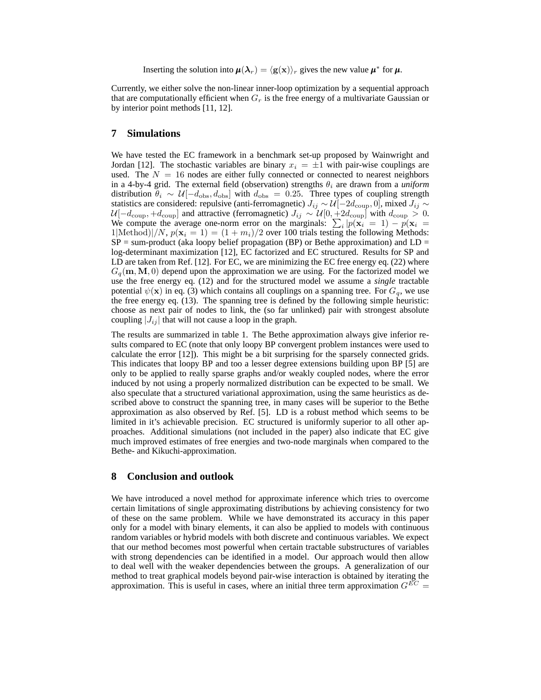Inserting the solution into  $\boldsymbol{\mu}(\boldsymbol{\lambda}_r) = \langle \mathbf{g}(\mathbf{x})\rangle_r$  gives the new value  $\boldsymbol{\mu}^*$  for  $\boldsymbol{\mu}$ .

Currently, we either solve the non-linear inner-loop optimization by a sequential approach that are computationally efficient when  $G_r$  is the free energy of a multivariate Gaussian or by interior point methods [11, 12].

## **7 Simulations**

We have tested the EC framework in a benchmark set-up proposed by Wainwright and Jordan [12]. The stochastic variables are binary  $x_i = \pm 1$  with pair-wise couplings are used. The  $N = 16$  nodes are either fully connected or connected to nearest neighbors in a 4-by-4 grid. The external field (observation) strengths  $\theta_i$  are drawn from a *uniform* distribution  $\theta_i \sim \mathcal{U}[-d_{\text{obs}}, d_{\text{obs}}]$  with  $d_{\text{obs}} = 0.25$ . Three types of coupling strength statistics are considered: repulsive (anti-ferromagnetic)  $J_{ij} \sim \mathcal{U}[-2d_{\rm coup}, 0]$ , mixed  $J_{ij} \sim$  $\mathcal{U}[-d_\mathrm{coup},+d_\mathrm{coup}]$  and attractive (ferromagnetic)  $J_{ij} \sim \mathcal{U}[0,+2d_\mathrm{coup}]$  with  $d_\mathrm{coup} > 0.$ We compute the average one-norm error on the marginals:  $\sum_i |p(\mathbf{x}_i = 1) - p(\mathbf{x}_i = 1)|$ 1|Method)|/N,  $p(\mathbf{x}_i = 1) = (1 + m_i)/2$  over 100 trials testing the following Methods:  $SP = sum-product$  (aka loopy belief propagation (BP) or Bethe approximation) and  $LD =$ log-determinant maximization [12], EC factorized and EC structured. Results for SP and LD are taken from Ref. [12]. For EC, we are minimizing the EC free energy eq. (22) where  $G_q(\mathbf{m}, \mathbf{M}, 0)$  depend upon the approximation we are using. For the factorized model we use the free energy eq. (12) and for the structured model we assume a *single* tractable potential  $\psi(\mathbf{x})$  in eq. (3) which contains all couplings on a spanning tree. For  $G_q$ , we use the free energy eq. (13). The spanning tree is defined by the following simple heuristic: choose as next pair of nodes to link, the (so far unlinked) pair with strongest absolute coupling  $|J_{ij}|$  that will not cause a loop in the graph.

The results are summarized in table 1. The Bethe approximation always give inferior results compared to EC (note that only loopy BP convergent problem instances were used to calculate the error [12]). This might be a bit surprising for the sparsely connected grids. This indicates that loopy BP and too a lesser degree extensions building upon BP [5] are only to be applied to really sparse graphs and/or weakly coupled nodes, where the error induced by not using a properly normalized distribution can be expected to be small. We also speculate that a structured variational approximation, using the same heuristics as described above to construct the spanning tree, in many cases will be superior to the Bethe approximation as also observed by Ref. [5]. LD is a robust method which seems to be limited in it's achievable precision. EC structured is uniformly superior to all other approaches. Additional simulations (not included in the paper) also indicate that EC give much improved estimates of free energies and two-node marginals when compared to the Bethe- and Kikuchi-approximation.

# **8 Conclusion and outlook**

We have introduced a novel method for approximate inference which tries to overcome certain limitations of single approximating distributions by achieving consistency for two of these on the same problem. While we have demonstrated its accuracy in this paper only for a model with binary elements, it can also be applied to models with continuous random variables or hybrid models with both discrete and continuous variables. We expect that our method becomes most powerful when certain tractable substructures of variables with strong dependencies can be identified in a model. Our approach would then allow to deal well with the weaker dependencies between the groups. A generalization of our method to treat graphical models beyond pair-wise interaction is obtained by iterating the approximation. This is useful in cases, where an initial three term approximation  $G^{EC}$  =